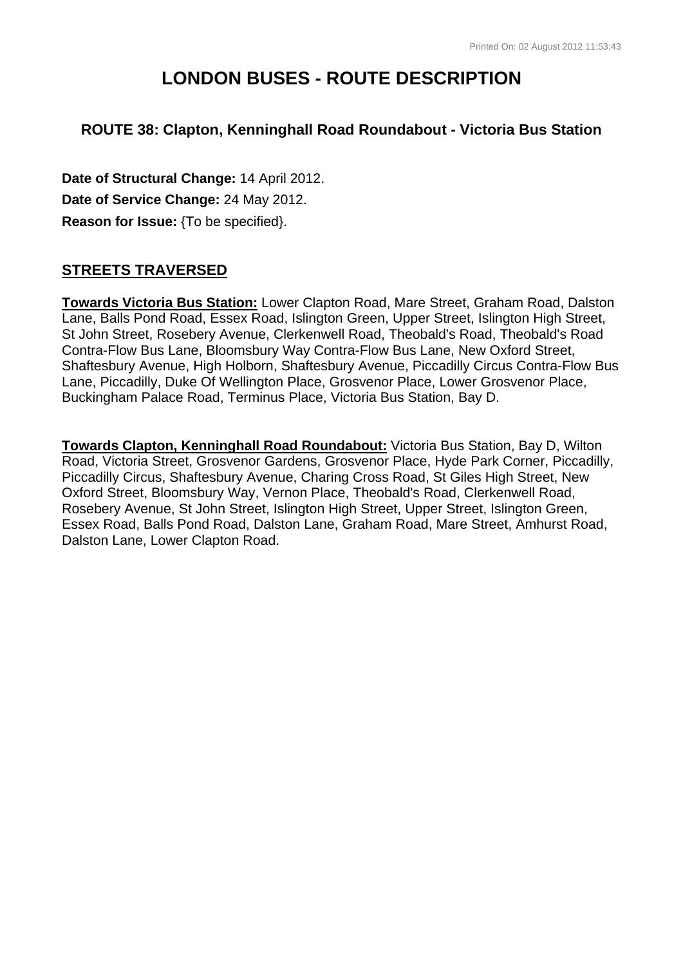# **LONDON BUSES - ROUTE DESCRIPTION**

## **ROUTE 38: Clapton, Kenninghall Road Roundabout - Victoria Bus Station**

**Date of Structural Change:** 14 April 2012. **Date of Service Change:** 24 May 2012. **Reason for Issue:** {To be specified}.

## **STREETS TRAVERSED**

**Towards Victoria Bus Station:** Lower Clapton Road, Mare Street, Graham Road, Dalston Lane, Balls Pond Road, Essex Road, Islington Green, Upper Street, Islington High Street, St John Street, Rosebery Avenue, Clerkenwell Road, Theobald's Road, Theobald's Road Contra-Flow Bus Lane, Bloomsbury Way Contra-Flow Bus Lane, New Oxford Street, Shaftesbury Avenue, High Holborn, Shaftesbury Avenue, Piccadilly Circus Contra-Flow Bus Lane, Piccadilly, Duke Of Wellington Place, Grosvenor Place, Lower Grosvenor Place, Buckingham Palace Road, Terminus Place, Victoria Bus Station, Bay D.

**Towards Clapton, Kenninghall Road Roundabout:** Victoria Bus Station, Bay D, Wilton Road, Victoria Street, Grosvenor Gardens, Grosvenor Place, Hyde Park Corner, Piccadilly, Piccadilly Circus, Shaftesbury Avenue, Charing Cross Road, St Giles High Street, New Oxford Street, Bloomsbury Way, Vernon Place, Theobald's Road, Clerkenwell Road, Rosebery Avenue, St John Street, Islington High Street, Upper Street, Islington Green, Essex Road, Balls Pond Road, Dalston Lane, Graham Road, Mare Street, Amhurst Road, Dalston Lane, Lower Clapton Road.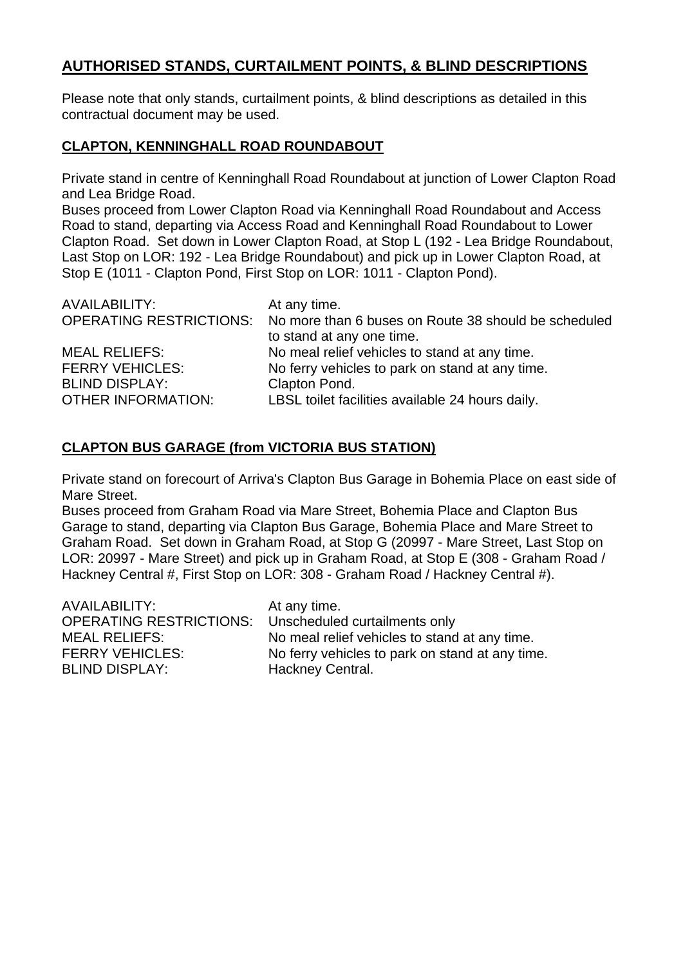## **AUTHORISED STANDS, CURTAILMENT POINTS, & BLIND DESCRIPTIONS**

Please note that only stands, curtailment points, & blind descriptions as detailed in this contractual document may be used.

#### **CLAPTON, KENNINGHALL ROAD ROUNDABOUT**

Private stand in centre of Kenninghall Road Roundabout at junction of Lower Clapton Road and Lea Bridge Road.

Buses proceed from Lower Clapton Road via Kenninghall Road Roundabout and Access Road to stand, departing via Access Road and Kenninghall Road Roundabout to Lower Clapton Road. Set down in Lower Clapton Road, at Stop L (192 - Lea Bridge Roundabout, Last Stop on LOR: 192 - Lea Bridge Roundabout) and pick up in Lower Clapton Road, at Stop E (1011 - Clapton Pond, First Stop on LOR: 1011 - Clapton Pond).

| AVAILABILITY:             | At any time.                                                                 |
|---------------------------|------------------------------------------------------------------------------|
|                           | OPERATING RESTRICTIONS: No more than 6 buses on Route 38 should be scheduled |
|                           | to stand at any one time.                                                    |
| <b>MEAL RELIEFS:</b>      | No meal relief vehicles to stand at any time.                                |
| <b>FERRY VEHICLES:</b>    | No ferry vehicles to park on stand at any time.                              |
| <b>BLIND DISPLAY:</b>     | Clapton Pond.                                                                |
| <b>OTHER INFORMATION:</b> | LBSL toilet facilities available 24 hours daily.                             |

## **CLAPTON BUS GARAGE (from VICTORIA BUS STATION)**

Private stand on forecourt of Arriva's Clapton Bus Garage in Bohemia Place on east side of Mare Street.

Buses proceed from Graham Road via Mare Street, Bohemia Place and Clapton Bus Garage to stand, departing via Clapton Bus Garage, Bohemia Place and Mare Street to Graham Road. Set down in Graham Road, at Stop G (20997 - Mare Street, Last Stop on LOR: 20997 - Mare Street) and pick up in Graham Road, at Stop E (308 - Graham Road / Hackney Central #, First Stop on LOR: 308 - Graham Road / Hackney Central #).

| AVAILABILITY:                                                | At any time.                                    |
|--------------------------------------------------------------|-------------------------------------------------|
| <b>OPERATING RESTRICTIONS:</b> Unscheduled curtailments only |                                                 |
| <b>MEAL RELIEFS:</b>                                         | No meal relief vehicles to stand at any time.   |
| <b>FERRY VEHICLES:</b>                                       | No ferry vehicles to park on stand at any time. |
| <b>BLIND DISPLAY:</b>                                        | Hackney Central.                                |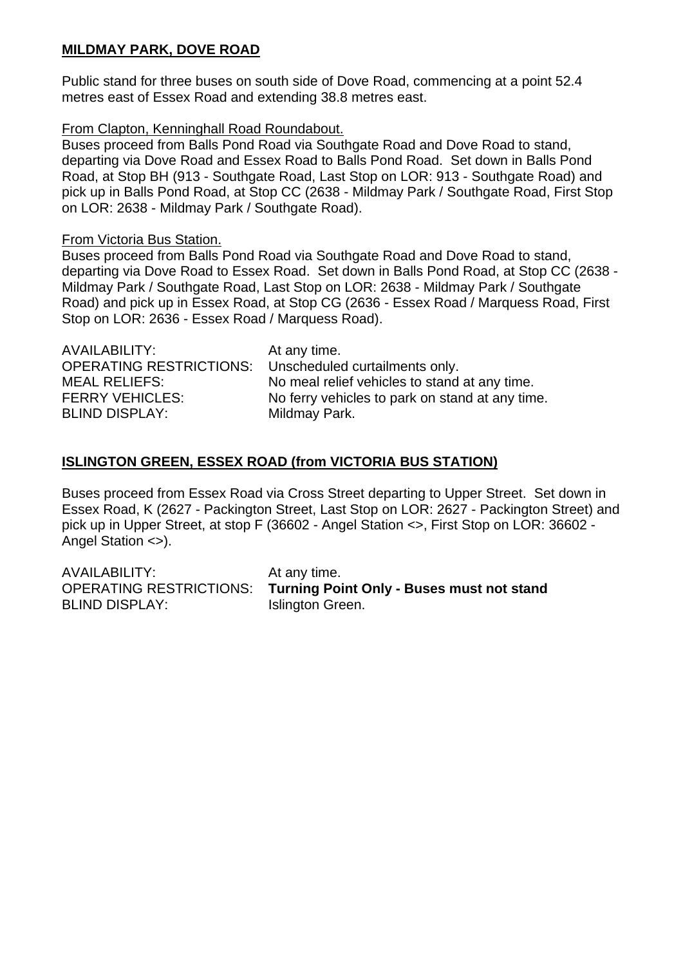## **MILDMAY PARK, DOVE ROAD**

Public stand for three buses on south side of Dove Road, commencing at a point 52.4 metres east of Essex Road and extending 38.8 metres east.

#### From Clapton, Kenninghall Road Roundabout.

Buses proceed from Balls Pond Road via Southgate Road and Dove Road to stand, departing via Dove Road and Essex Road to Balls Pond Road. Set down in Balls Pond Road, at Stop BH (913 - Southgate Road, Last Stop on LOR: 913 - Southgate Road) and pick up in Balls Pond Road, at Stop CC (2638 - Mildmay Park / Southgate Road, First Stop on LOR: 2638 - Mildmay Park / Southgate Road).

#### From Victoria Bus Station.

Buses proceed from Balls Pond Road via Southgate Road and Dove Road to stand, departing via Dove Road to Essex Road. Set down in Balls Pond Road, at Stop CC (2638 - Mildmay Park / Southgate Road, Last Stop on LOR: 2638 - Mildmay Park / Southgate Road) and pick up in Essex Road, at Stop CG (2636 - Essex Road / Marquess Road, First Stop on LOR: 2636 - Essex Road / Marquess Road).

| AVAILABILITY:                  | At any time.                                    |
|--------------------------------|-------------------------------------------------|
| <b>OPERATING RESTRICTIONS:</b> | Unscheduled curtailments only.                  |
| <b>MEAL RELIEFS:</b>           | No meal relief vehicles to stand at any time.   |
| <b>FERRY VEHICLES:</b>         | No ferry vehicles to park on stand at any time. |
| <b>BLIND DISPLAY:</b>          | Mildmay Park.                                   |
|                                |                                                 |

## **ISLINGTON GREEN, ESSEX ROAD (from VICTORIA BUS STATION)**

Buses proceed from Essex Road via Cross Street departing to Upper Street. Set down in Essex Road, K (2627 - Packington Street, Last Stop on LOR: 2627 - Packington Street) and pick up in Upper Street, at stop F (36602 - Angel Station <>, First Stop on LOR: 36602 - Angel Station <>).

| AVAILABILITY:         | At any time.                                                      |
|-----------------------|-------------------------------------------------------------------|
|                       | OPERATING RESTRICTIONS: Turning Point Only - Buses must not stand |
| <b>BLIND DISPLAY:</b> | Islington Green.                                                  |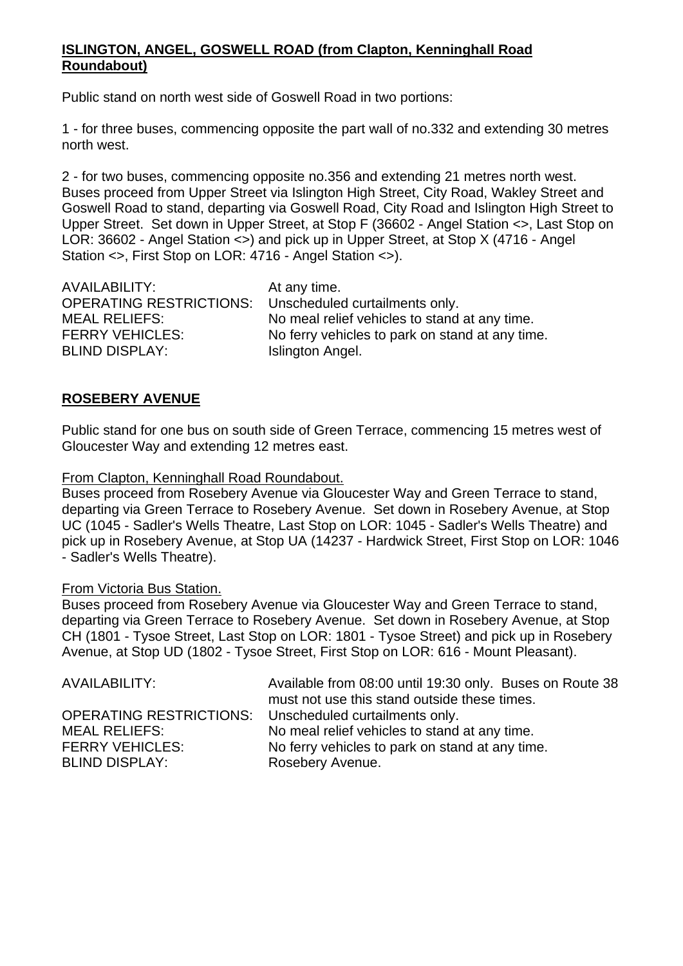#### **ISLINGTON, ANGEL, GOSWELL ROAD (from Clapton, Kenninghall Road Roundabout)**

Public stand on north west side of Goswell Road in two portions:

1 - for three buses, commencing opposite the part wall of no.332 and extending 30 metres north west.

2 - for two buses, commencing opposite no.356 and extending 21 metres north west. Buses proceed from Upper Street via Islington High Street, City Road, Wakley Street and Goswell Road to stand, departing via Goswell Road, City Road and Islington High Street to Upper Street. Set down in Upper Street, at Stop F (36602 - Angel Station <>, Last Stop on LOR: 36602 - Angel Station <>) and pick up in Upper Street, at Stop X (4716 - Angel Station <>, First Stop on LOR: 4716 - Angel Station <>).

AVAILABILITY: At any time. OPERATING RESTRICTIONS: Unscheduled curtailments only. BLIND DISPLAY: Islington Angel.

MEAL RELIEFS: No meal relief vehicles to stand at any time. FERRY VEHICLES: No ferry vehicles to park on stand at any time.

#### **ROSEBERY AVENUE**

Public stand for one bus on south side of Green Terrace, commencing 15 metres west of Gloucester Way and extending 12 metres east.

#### From Clapton, Kenninghall Road Roundabout.

Buses proceed from Rosebery Avenue via Gloucester Way and Green Terrace to stand, departing via Green Terrace to Rosebery Avenue. Set down in Rosebery Avenue, at Stop UC (1045 - Sadler's Wells Theatre, Last Stop on LOR: 1045 - Sadler's Wells Theatre) and pick up in Rosebery Avenue, at Stop UA (14237 - Hardwick Street, First Stop on LOR: 1046 - Sadler's Wells Theatre).

#### From Victoria Bus Station.

Buses proceed from Rosebery Avenue via Gloucester Way and Green Terrace to stand, departing via Green Terrace to Rosebery Avenue. Set down in Rosebery Avenue, at Stop CH (1801 - Tysoe Street, Last Stop on LOR: 1801 - Tysoe Street) and pick up in Rosebery Avenue, at Stop UD (1802 - Tysoe Street, First Stop on LOR: 616 - Mount Pleasant).

| Available from 08:00 until 19:30 only. Buses on Route 38<br>must not use this stand outside these times. |
|----------------------------------------------------------------------------------------------------------|
| OPERATING RESTRICTIONS: Unscheduled curtailments only.                                                   |
| No meal relief vehicles to stand at any time.                                                            |
| No ferry vehicles to park on stand at any time.                                                          |
| Rosebery Avenue.                                                                                         |
|                                                                                                          |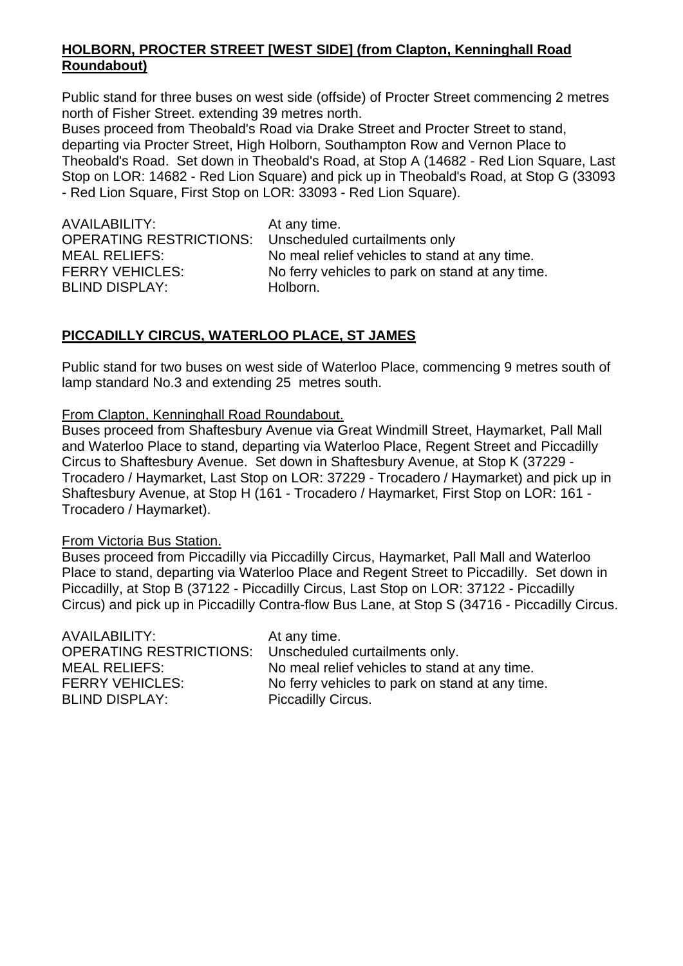#### **HOLBORN, PROCTER STREET [WEST SIDE] (from Clapton, Kenninghall Road Roundabout)**

Public stand for three buses on west side (offside) of Procter Street commencing 2 metres north of Fisher Street. extending 39 metres north.

Buses proceed from Theobald's Road via Drake Street and Procter Street to stand, departing via Procter Street, High Holborn, Southampton Row and Vernon Place to Theobald's Road. Set down in Theobald's Road, at Stop A (14682 - Red Lion Square, Last Stop on LOR: 14682 - Red Lion Square) and pick up in Theobald's Road, at Stop G (33093 - Red Lion Square, First Stop on LOR: 33093 - Red Lion Square).

| AVAILABILITY:                                                | At any time.                                    |
|--------------------------------------------------------------|-------------------------------------------------|
| <b>OPERATING RESTRICTIONS:</b> Unscheduled curtailments only |                                                 |
| <b>MEAL RELIEFS:</b>                                         | No meal relief vehicles to stand at any time.   |
| <b>FERRY VEHICLES:</b>                                       | No ferry vehicles to park on stand at any time. |
| <b>BLIND DISPLAY:</b>                                        | Holborn.                                        |
|                                                              |                                                 |

#### **PICCADILLY CIRCUS, WATERLOO PLACE, ST JAMES**

Public stand for two buses on west side of Waterloo Place, commencing 9 metres south of lamp standard No.3 and extending 25 metres south.

#### From Clapton, Kenninghall Road Roundabout.

Buses proceed from Shaftesbury Avenue via Great Windmill Street, Haymarket, Pall Mall and Waterloo Place to stand, departing via Waterloo Place, Regent Street and Piccadilly Circus to Shaftesbury Avenue. Set down in Shaftesbury Avenue, at Stop K (37229 - Trocadero / Haymarket, Last Stop on LOR: 37229 - Trocadero / Haymarket) and pick up in Shaftesbury Avenue, at Stop H (161 - Trocadero / Haymarket, First Stop on LOR: 161 - Trocadero / Haymarket).

#### From Victoria Bus Station.

Buses proceed from Piccadilly via Piccadilly Circus, Haymarket, Pall Mall and Waterloo Place to stand, departing via Waterloo Place and Regent Street to Piccadilly. Set down in Piccadilly, at Stop B (37122 - Piccadilly Circus, Last Stop on LOR: 37122 - Piccadilly Circus) and pick up in Piccadilly Contra-flow Bus Lane, at Stop S (34716 - Piccadilly Circus.

| AVAILABILITY:<br>OPERATING RESTRICTIONS: Unscheduled curtailments only.<br>MEAL RELIEFS: | At any time.<br>No meal relief vehicles to stand at any time. |
|------------------------------------------------------------------------------------------|---------------------------------------------------------------|
| <b>FERRY VEHICLES:</b>                                                                   | No ferry vehicles to park on stand at any time.               |
| <b>BLIND DISPLAY:</b>                                                                    | <b>Piccadilly Circus.</b>                                     |